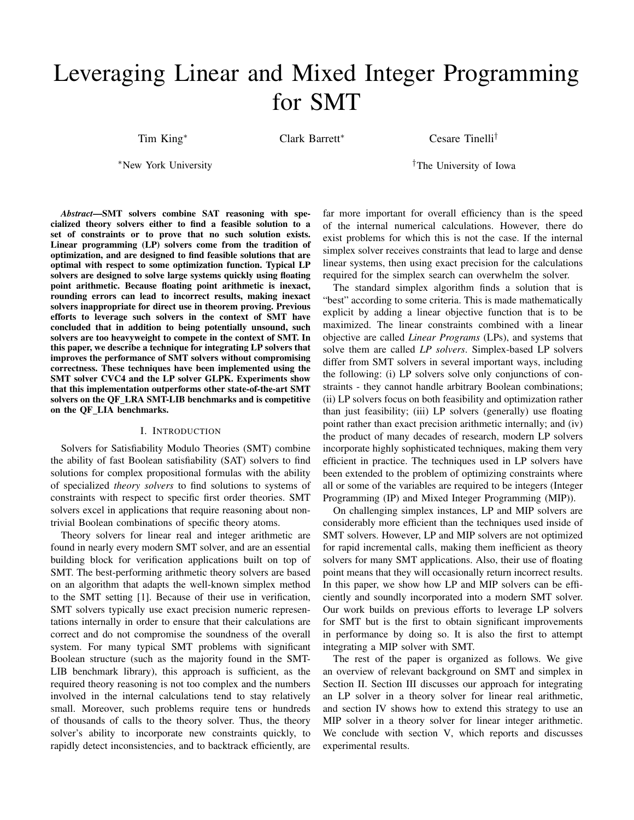# Leveraging Linear and Mixed Integer Programming for SMT

Tim King<sup>∗</sup>

Clark Barrett<sup>∗</sup> Cesare Tinelli†

<sup>∗</sup>New York University

†The University of Iowa

*Abstract*—SMT solvers combine SAT reasoning with specialized theory solvers either to find a feasible solution to a set of constraints or to prove that no such solution exists. Linear programming (LP) solvers come from the tradition of optimization, and are designed to find feasible solutions that are optimal with respect to some optimization function. Typical LP solvers are designed to solve large systems quickly using floating point arithmetic. Because floating point arithmetic is inexact, rounding errors can lead to incorrect results, making inexact solvers inappropriate for direct use in theorem proving. Previous efforts to leverage such solvers in the context of SMT have concluded that in addition to being potentially unsound, such solvers are too heavyweight to compete in the context of SMT. In this paper, we describe a technique for integrating LP solvers that improves the performance of SMT solvers without compromising correctness. These techniques have been implemented using the SMT solver CVC4 and the LP solver GLPK. Experiments show that this implementation outperforms other state-of-the-art SMT solvers on the QF LRA SMT-LIB benchmarks and is competitive on the QF LIA benchmarks.

### I. INTRODUCTION

Solvers for Satisfiability Modulo Theories (SMT) combine the ability of fast Boolean satisfiability (SAT) solvers to find solutions for complex propositional formulas with the ability of specialized *theory solvers* to find solutions to systems of constraints with respect to specific first order theories. SMT solvers excel in applications that require reasoning about nontrivial Boolean combinations of specific theory atoms.

Theory solvers for linear real and integer arithmetic are found in nearly every modern SMT solver, and are an essential building block for verification applications built on top of SMT. The best-performing arithmetic theory solvers are based on an algorithm that adapts the well-known simplex method to the SMT setting [1]. Because of their use in verification, SMT solvers typically use exact precision numeric representations internally in order to ensure that their calculations are correct and do not compromise the soundness of the overall system. For many typical SMT problems with significant Boolean structure (such as the majority found in the SMT-LIB benchmark library), this approach is sufficient, as the required theory reasoning is not too complex and the numbers involved in the internal calculations tend to stay relatively small. Moreover, such problems require tens or hundreds of thousands of calls to the theory solver. Thus, the theory solver's ability to incorporate new constraints quickly, to rapidly detect inconsistencies, and to backtrack efficiently, are

far more important for overall efficiency than is the speed of the internal numerical calculations. However, there do exist problems for which this is not the case. If the internal simplex solver receives constraints that lead to large and dense linear systems, then using exact precision for the calculations required for the simplex search can overwhelm the solver.

The standard simplex algorithm finds a solution that is "best" according to some criteria. This is made mathematically explicit by adding a linear objective function that is to be maximized. The linear constraints combined with a linear objective are called *Linear Programs* (LPs), and systems that solve them are called *LP solvers*. Simplex-based LP solvers differ from SMT solvers in several important ways, including the following: (i) LP solvers solve only conjunctions of constraints - they cannot handle arbitrary Boolean combinations; (ii) LP solvers focus on both feasibility and optimization rather than just feasibility; (iii) LP solvers (generally) use floating point rather than exact precision arithmetic internally; and (iv) the product of many decades of research, modern LP solvers incorporate highly sophisticated techniques, making them very efficient in practice. The techniques used in LP solvers have been extended to the problem of optimizing constraints where all or some of the variables are required to be integers (Integer Programming (IP) and Mixed Integer Programming (MIP)).

On challenging simplex instances, LP and MIP solvers are considerably more efficient than the techniques used inside of SMT solvers. However, LP and MIP solvers are not optimized for rapid incremental calls, making them inefficient as theory solvers for many SMT applications. Also, their use of floating point means that they will occasionally return incorrect results. In this paper, we show how LP and MIP solvers can be efficiently and soundly incorporated into a modern SMT solver. Our work builds on previous efforts to leverage LP solvers for SMT but is the first to obtain significant improvements in performance by doing so. It is also the first to attempt integrating a MIP solver with SMT.

The rest of the paper is organized as follows. We give an overview of relevant background on SMT and simplex in Section II. Section III discusses our approach for integrating an LP solver in a theory solver for linear real arithmetic, and section IV shows how to extend this strategy to use an MIP solver in a theory solver for linear integer arithmetic. We conclude with section V, which reports and discusses experimental results.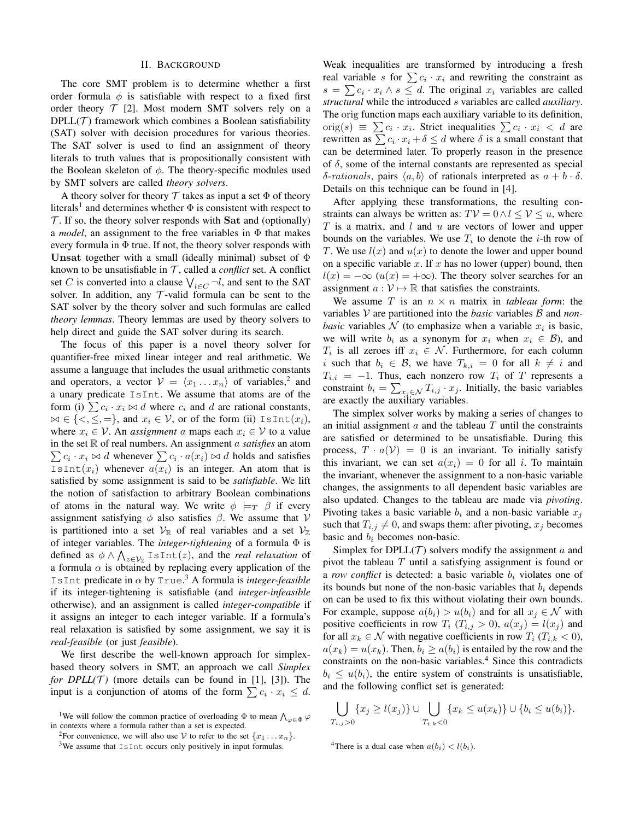#### II. BACKGROUND

The core SMT problem is to determine whether a first order formula  $\phi$  is satisfiable with respect to a fixed first order theory  $T$  [2]. Most modern SMT solvers rely on a  $DPLL(T)$  framework which combines a Boolean satisfiability (SAT) solver with decision procedures for various theories. The SAT solver is used to find an assignment of theory literals to truth values that is propositionally consistent with the Boolean skeleton of  $\phi$ . The theory-specific modules used by SMT solvers are called *theory solvers*.

A theory solver for theory  $\mathcal T$  takes as input a set  $\Phi$  of theory literals<sup>1</sup> and determines whether  $\Phi$  is consistent with respect to  $\mathcal T$ . If so, the theory solver responds with Sat and (optionally) a *model*, an assignment to the free variables in Φ that makes every formula in  $\Phi$  true. If not, the theory solver responds with Unsat together with a small (ideally minimal) subset of  $\Phi$ known to be unsatisfiable in  $\mathcal T$ , called a *conflict* set. A conflict set C is converted into a clause  $\bigvee_{l \in C} \neg l$ , and sent to the SAT solver. In addition, any  $T$ -valid formula can be sent to the SAT solver by the theory solver and such formulas are called *theory lemmas*. Theory lemmas are used by theory solvers to help direct and guide the SAT solver during its search.

The focus of this paper is a novel theory solver for quantifier-free mixed linear integer and real arithmetic. We assume a language that includes the usual arithmetic constants and operators, a vector  $V = \langle x_1 ... x_n \rangle$  of variables,<sup>2</sup> and a unary predicate IsInt. We assume that atoms are of the form (i)  $\sum c_i \cdot x_i \bowtie d$  where  $c_i$  and d are rational constants,  $\bowtie \in \{<,\leq,=\}$ , and  $x_i \in V$ , or of the form (ii) IsInt $(x_i)$ , where  $x_i \in V$ . An *assignment* a maps each  $x_i \in V$  to a value in the set R of real numbers. An assignment a *satisfies* an atom  $\sum c_i \cdot x_i \bowtie d$  whenever  $\sum c_i \cdot a(x_i) \bowtie d$  holds and satisfies IsInt $(x_i)$  whenever  $a(x_i)$  is an integer. An atom that is satisfied by some assignment is said to be *satisfiable*. We lift the notion of satisfaction to arbitrary Boolean combinations of atoms in the natural way. We write  $\phi \models_T \beta$  if every assignment satisfying  $\phi$  also satisfies  $\beta$ . We assume that  $V$ is partitioned into a set  $\mathcal{V}_{\mathbb{R}}$  of real variables and a set  $\mathcal{V}_{\mathbb{Z}}$ of integer variables. The *integer-tightening* of a formula Φ is defined as  $\phi \land \bigwedge_{z \in \mathcal{V}_\mathbb{Z}} \text{IsInt}(z)$ , and the *real relaxation* of a formula  $\alpha$  is obtained by replacing every application of the Is Int predicate in  $\alpha$  by True.<sup>3</sup> A formula is *integer-feasible* if its integer-tightening is satisfiable (and *integer-infeasible* otherwise), and an assignment is called *integer-compatible* if it assigns an integer to each integer variable. If a formula's real relaxation is satisfied by some assignment, we say it is *real-feasible* (or just *feasible*).

We first describe the well-known approach for simplexbased theory solvers in SMT, an approach we call *Simplex for DPLL(T)* (more details can be found in [1], [3]). The input is a conjunction of atoms of the form  $\sum c_i \cdot x_i \leq d$ .

Weak inequalities are transformed by introducing a fresh real variable s for  $\sum c_i \cdot x_i$  and rewriting the constraint as  $s = \sum c_i \cdot x_i \wedge s \leq d$ . The original  $x_i$  variables are called *structural* while the introduced s variables are called *auxiliary*. The orig function maps each auxiliary variable to its definition, orig $(s) \equiv \sum c_i \cdot x_i$ . Strict inequalities  $\sum c_i \cdot x_i < d$  are rewritten as  $\sum c_i \cdot x_i + \delta \le d$  where  $\delta$  is a small constant that can be determined later. To properly reason in the presence of  $\delta$ , some of the internal constants are represented as special δ-rationals, pairs  $\langle a, b \rangle$  of rationals interpreted as  $a + b \cdot \delta$ . Details on this technique can be found in [4].

After applying these transformations, the resulting constraints can always be written as:  $T\mathcal{V} = 0 \wedge l \leq \mathcal{V} \leq u$ , where  $T$  is a matrix, and l and  $u$  are vectors of lower and upper bounds on the variables. We use  $T_i$  to denote the *i*-th row of T. We use  $l(x)$  and  $u(x)$  to denote the lower and upper bound on a specific variable x. If x has no lower (upper) bound, then  $l(x) = -\infty$  ( $u(x) = +\infty$ ). The theory solver searches for an assignment  $a: \mathcal{V} \mapsto \mathbb{R}$  that satisfies the constraints.

We assume  $T$  is an  $n \times n$  matrix in *tableau form*: the variables V are partitioned into the *basic* variables B and *nonbasic* variables  $N$  (to emphasize when a variable  $x_i$  is basic, we will write  $b_i$  as a synonym for  $x_i$  when  $x_i \in \mathcal{B}$ ), and  $T_i$  is all zeroes iff  $x_i \in \mathcal{N}$ . Furthermore, for each column i such that  $b_i \in \mathcal{B}$ , we have  $T_{k,i} = 0$  for all  $k \neq i$  and  $T_{i,i}$  = −1. Thus, each nonzero row  $T_i$  of T represents a constraint  $b_i = \sum_{x_j \in \mathcal{N}} T_{i,j} \cdot x_j$ . Initially, the basic variables are exactly the auxiliary variables.

The simplex solver works by making a series of changes to an initial assignment  $a$  and the tableau  $T$  until the constraints are satisfied or determined to be unsatisfiable. During this process,  $T \cdot a(V) = 0$  is an invariant. To initially satisfy this invariant, we can set  $a(x_i) = 0$  for all i. To maintain the invariant, whenever the assignment to a non-basic variable changes, the assignments to all dependent basic variables are also updated. Changes to the tableau are made via *pivoting*. Pivoting takes a basic variable  $b_i$  and a non-basic variable  $x_j$ such that  $T_{i,j} \neq 0$ , and swaps them: after pivoting,  $x_j$  becomes basic and  $b_i$  becomes non-basic.

Simplex for DPLL( $T$ ) solvers modify the assignment a and pivot the tableau  $T$  until a satisfying assignment is found or a *row conflict* is detected: a basic variable  $b_i$  violates one of its bounds but none of the non-basic variables that  $b_i$  depends on can be used to fix this without violating their own bounds. For example, suppose  $a(b_i) > u(b_i)$  and for all  $x_i \in \mathcal{N}$  with positive coefficients in row  $T_i$  ( $T_{i,j} > 0$ ),  $a(x_j) = l(x_j)$  and for all  $x_k \in \mathcal{N}$  with negative coefficients in row  $T_i$  ( $T_{i,k}$  < 0),  $a(x_k) = u(x_k)$ . Then,  $b_i \ge a(b_i)$  is entailed by the row and the constraints on the non-basic variables.<sup>4</sup> Since this contradicts  $b_i \leq u(b_i)$ , the entire system of constraints is unsatisfiable, and the following conflict set is generated:

$$
\bigcup_{T_{i,j}>0} \{x_j \ge l(x_j)\} \cup \bigcup_{T_{i,k}<0} \{x_k \le u(x_k)\} \cup \{b_i \le u(b_i)\}.
$$

<sup>&</sup>lt;sup>1</sup>We will follow the common practice of overloading  $\Phi$  to mean  $\bigwedge_{\varphi \in \Phi} \varphi$ in contexts where a formula rather than a set is expected.

<sup>&</sup>lt;sup>2</sup>For convenience, we will also use V to refer to the set  $\{x_1 \ldots x_n\}$ .

<sup>&</sup>lt;sup>3</sup>We assume that IsInt occurs only positively in input formulas.

<sup>&</sup>lt;sup>4</sup>There is a dual case when  $a(b_i) < l(b_i)$ .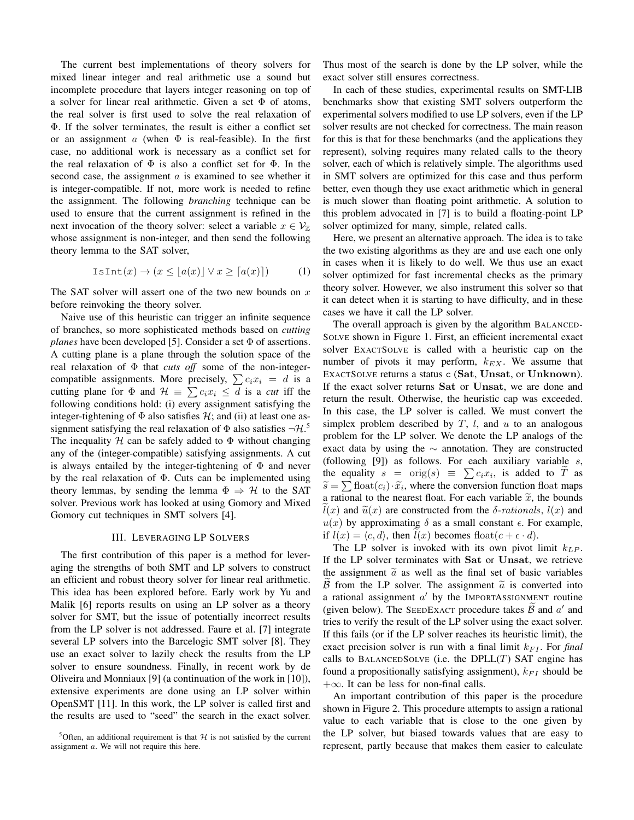The current best implementations of theory solvers for mixed linear integer and real arithmetic use a sound but incomplete procedure that layers integer reasoning on top of a solver for linear real arithmetic. Given a set  $\Phi$  of atoms, the real solver is first used to solve the real relaxation of Φ. If the solver terminates, the result is either a conflict set or an assignment  $\alpha$  (when  $\Phi$  is real-feasible). In the first case, no additional work is necessary as a conflict set for the real relaxation of  $\Phi$  is also a conflict set for  $\Phi$ . In the second case, the assignment  $a$  is examined to see whether it is integer-compatible. If not, more work is needed to refine the assignment. The following *branching* technique can be used to ensure that the current assignment is refined in the next invocation of the theory solver: select a variable  $x \in V_{\mathbb{Z}}$ whose assignment is non-integer, and then send the following theory lemma to the SAT solver,

$$
\text{IsInt}(x) \to (x \leq \lfloor a(x) \rfloor \lor x \geq \lceil a(x) \rceil) \tag{1}
$$

The SAT solver will assert one of the two new bounds on  $x$ before reinvoking the theory solver.

Naive use of this heuristic can trigger an infinite sequence of branches, so more sophisticated methods based on *cutting planes* have been developed [5]. Consider a set Φ of assertions. A cutting plane is a plane through the solution space of the real relaxation of Φ that *cuts off* some of the non-integercompatible assignments. More precisely,  $\sum c_i x_i = d$  is a cutting plane for  $\Phi$  and  $\mathcal{H} \equiv \sum c_i x_i \leq d$  is a *cut* iff the following conditions hold: (i) every assignment satisfying the integer-tightening of  $\Phi$  also satisfies  $\mathcal{H}$ ; and (ii) at least one assignment satisfying the real relaxation of  $\Phi$  also satisfies  $\neg \mathcal{H}$ .<sup>5</sup> The inequality  $H$  can be safely added to  $\Phi$  without changing any of the (integer-compatible) satisfying assignments. A cut is always entailed by the integer-tightening of  $\Phi$  and never by the real relaxation of Φ. Cuts can be implemented using theory lemmas, by sending the lemma  $\Phi \Rightarrow H$  to the SAT solver. Previous work has looked at using Gomory and Mixed Gomory cut techniques in SMT solvers [4].

## III. LEVERAGING LP SOLVERS

The first contribution of this paper is a method for leveraging the strengths of both SMT and LP solvers to construct an efficient and robust theory solver for linear real arithmetic. This idea has been explored before. Early work by Yu and Malik [6] reports results on using an LP solver as a theory solver for SMT, but the issue of potentially incorrect results from the LP solver is not addressed. Faure et al. [7] integrate several LP solvers into the Barcelogic SMT solver [8]. They use an exact solver to lazily check the results from the LP solver to ensure soundness. Finally, in recent work by de Oliveira and Monniaux [9] (a continuation of the work in [10]), extensive experiments are done using an LP solver within OpenSMT [11]. In this work, the LP solver is called first and the results are used to "seed" the search in the exact solver. Thus most of the search is done by the LP solver, while the exact solver still ensures correctness.

In each of these studies, experimental results on SMT-LIB benchmarks show that existing SMT solvers outperform the experimental solvers modified to use LP solvers, even if the LP solver results are not checked for correctness. The main reason for this is that for these benchmarks (and the applications they represent), solving requires many related calls to the theory solver, each of which is relatively simple. The algorithms used in SMT solvers are optimized for this case and thus perform better, even though they use exact arithmetic which in general is much slower than floating point arithmetic. A solution to this problem advocated in [7] is to build a floating-point LP solver optimized for many, simple, related calls.

Here, we present an alternative approach. The idea is to take the two existing algorithms as they are and use each one only in cases when it is likely to do well. We thus use an exact solver optimized for fast incremental checks as the primary theory solver. However, we also instrument this solver so that it can detect when it is starting to have difficulty, and in these cases we have it call the LP solver.

The overall approach is given by the algorithm BALANCED-SOLVE shown in Figure 1. First, an efficient incremental exact solver EXACTSOLVE is called with a heuristic cap on the number of pivots it may perform,  $k_{EX}$ . We assume that EXACTSOLVE returns a status c (Sat, Unsat, or Unknown). If the exact solver returns Sat or Unsat, we are done and return the result. Otherwise, the heuristic cap was exceeded. In this case, the LP solver is called. We must convert the simplex problem described by  $T$ ,  $l$ , and  $u$  to an analogous problem for the LP solver. We denote the LP analogs of the exact data by using the  $\sim$  annotation. They are constructed (following  $[9]$ ) as follows. For each auxiliary variable s, the equality  $s = \text{orig}(s) \equiv \sum c_i x_i$ , is added to T as  $\widetilde{s} = \sum$  float $(c_i) \cdot \widetilde{x}_i$ , where the conversion function float maps a rational to the nearest float. For each variable  $\tilde{x}$ , the bounds  $l(x)$  and  $\tilde{u}(x)$  are constructed from the *δ*-rationals,  $l(x)$  and  $u(x)$  by approximating  $\delta$  as a small constant  $\epsilon$ . For example, if  $l(x) = \langle c, d \rangle$ , then  $l(x)$  becomes float $(c + \epsilon \cdot d)$ .

The LP solver is invoked with its own pivot limit  $k_{LP}$ . If the LP solver terminates with Sat or Unsat, we retrieve the assignment  $\tilde{a}$  as well as the final set of basic variables B from the LP solver. The assignment  $\tilde{a}$  is converted into a rational assignment  $a'$  by the IMPORTASSIGNMENT routine (given below). The SEEDEXACT procedure takes  $\tilde{B}$  and a' and tries to verify the result of the LP solver using the exact solver. If this fails (or if the LP solver reaches its heuristic limit), the exact precision solver is run with a final limit  $k_{FI}$ . For *final* calls to BALANCEDSOLVE (i.e. the  $DPLL(T)$  SAT engine has found a propositionally satisfying assignment),  $k_{FI}$  should be  $+\infty$ . It can be less for non-final calls.

An important contribution of this paper is the procedure shown in Figure 2. This procedure attempts to assign a rational value to each variable that is close to the one given by the LP solver, but biased towards values that are easy to represent, partly because that makes them easier to calculate

<sup>&</sup>lt;sup>5</sup>Often, an additional requirement is that  $H$  is not satisfied by the current assignment a. We will not require this here.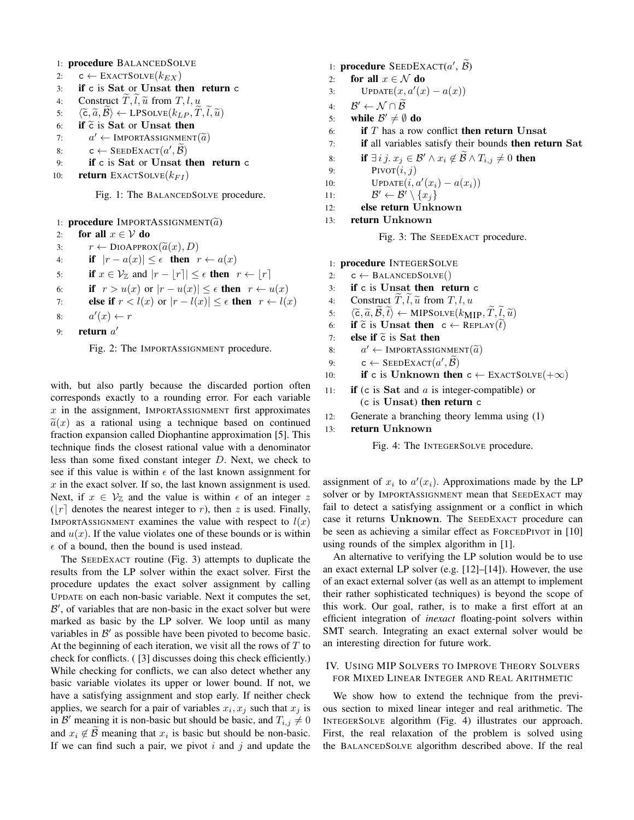- 1: procedure BALANCEDSOLVE
- 2:  $\mathbf{c} \leftarrow \text{EXACTSOLVE}(k_{EX})$
- 3: if c is Sat or Unsat then return c
- 4: Construct  $T, l, \tilde{u}$  from  $T, l, u$ <br>5:  $\langle \tilde{c}, \tilde{a}, \tilde{B} \rangle \leftarrow \text{LPSOLVE}(k_{LP}, \tilde{T})$
- 5:  $\langle \widetilde{c}, \widetilde{a}, \widetilde{\mathcal{B}} \rangle \leftarrow \text{LPSOLVE}(k_{LP}, \widetilde{T}, l, \widetilde{u})$ <br>6: **if**  $\widetilde{c}$  is **Sat** or **Unsat then**
- 6: **if**  $\tilde{c}$  is **Sat** or **Unsat then**<br>7:  $a' \leftarrow \text{IMPORTASSIGNMENT}$
- 7:  $a' \leftarrow \text{IMPORTASSIGNMENT}(\widetilde{a})$ <br>
2. SEEREXACT(c)
- 8:  $\mathbf{c} \leftarrow \text{SEEDEXACT}(a', \widetilde{B})$
- 9: if c is Sat or Unsat then return c
- 10: **return** EXACTSOLVE $(k_{FI})$

Fig. 1: The BALANCEDSOLVE procedure.

| 1: <b>procedure</b> IMPORTASSIGNMENT( $\widetilde{a}$ ) |
|---------------------------------------------------------|
| 2: for all $x \in V$ do                                 |

- 
- 3:  $r \leftarrow \text{DIOAPPROX}(\tilde{a}(x), D)$ <br>4: **if**  $|r a(x)| < \epsilon$  then *n*
- if  $|r a(x)| \leq \epsilon$  then  $r \leftarrow a(x)$
- 5: if  $x \in V_{\mathbb{Z}}$  and  $|r |r|| \leq \epsilon$  then  $r \leftarrow |r|$
- 6: if  $r > u(x)$  or  $|r u(x)| \leq \epsilon$  then  $r \leftarrow u(x)$
- 7: **else if**  $r < l(x)$  or  $|r l(x)| \le \epsilon$  then  $r \leftarrow l(x)$
- 8:  $a'(x) \leftarrow r$
- 9: **return**  $a'$



with, but also partly because the discarded portion often corresponds exactly to a rounding error. For each variable  $x$  in the assignment, IMPORTASSIGNMENT first approximates  $\tilde{a}(x)$  as a rational using a technique based on continued fraction expansion called Diophantine approximation [5]. This technique finds the closest rational value with a denominator less than some fixed constant integer D. Next, we check to see if this value is within  $\epsilon$  of the last known assignment for  $x$  in the exact solver. If so, the last known assignment is used. Next, if  $x \in V_{\mathbb{Z}}$  and the value is within  $\epsilon$  of an integer z  $\lfloor r \rfloor$  denotes the nearest integer to r), then z is used. Finally, IMPORTASSIGNMENT examines the value with respect to  $l(x)$ and  $u(x)$ . If the value violates one of these bounds or is within  $\epsilon$  of a bound, then the bound is used instead.

The SEEDEXACT routine (Fig. 3) attempts to duplicate the results from the LP solver within the exact solver. First the procedure updates the exact solver assignment by calling UPDATE on each non-basic variable. Next it computes the set,  $\mathcal{B}'$ , of variables that are non-basic in the exact solver but were marked as basic by the LP solver. We loop until as many variables in  $\mathcal{B}'$  as possible have been pivoted to become basic. At the beginning of each iteration, we visit all the rows of  $T$  to check for conflicts. ( [3] discusses doing this check efficiently.) While checking for conflicts, we can also detect whether any basic variable violates its upper or lower bound. If not, we have a satisfying assignment and stop early. If neither check applies, we search for a pair of variables  $x_i, x_j$  such that  $x_j$  is in B' meaning it is non-basic but should be basic, and  $T_{i,j} \neq 0$ and  $x_i \notin \mathcal{B}$  meaning that  $x_i$  is basic but should be non-basic. If we can find such a pair, we pivot  $i$  and  $j$  and update the

1: **procedure** SEEDEXACT( $a'$ ,  $\widetilde{B}$ ) 2: for all  $x \in \mathcal{N}$  do 3: UPDATE $(x, a'(x) - a(x))$ 4:  $\mathcal{B}' \leftarrow \mathcal{N} \cap \widetilde{\mathcal{B}}$ 5: while  $\mathcal{B}' \neq \emptyset$  do 6: if  $T$  has a row conflict then return Unsat 7: if all variables satisfy their bounds then return Sat 8: **if**  $\exists i j$ .  $x_j \in \mathcal{B}' \land x_i \notin \mathcal{B} \land T_{i,j} \neq 0$  then<br>9: **PIVOT** $(i, j)$  $Pivor(i, j)$ 10: UPDATE $(i, a'(x_i) - a(x_i))$ 11: B  $\mathcal{B}' \leftarrow \mathcal{B}' \setminus \{x_j\}$ 12: else return Unknown 13: return Unknown Fig. 3: The SEEDEXACT procedure. 1: procedure INTEGERSOLVE 2:  $c \leftarrow$  BALANCEDSOLVE()

- 3: if c is Unsat then return c
- 
- 4: Construct  $T, l, \tilde{u}$  from  $T, l, u$ <br>5:  $\langle \tilde{c}, \tilde{a}, \tilde{B}, \tilde{t} \rangle \leftarrow \text{MIPSOLVE}(k_{\text{M}})$
- 5:  $\langle \tilde{c}, \tilde{a}, \tilde{B}, \tilde{t} \rangle \leftarrow \text{MIPSOLVE}(k_{\text{MIP}}, \tilde{T}, \tilde{t}, \tilde{u})$ <br>6: **if**  $\tilde{c}$  is **Unsat then**  $c \leftarrow \text{REPLAN}(\tilde{t})$
- 6: if  $\tilde{c}$  is Unsat then  $c \leftarrow \text{REPLAN}(t)$ <br>7: else if  $\tilde{c}$  is Sat then
- 7: **else if**  $\tilde{c}$  is **Sat then**<br>8:  $a' \leftarrow \text{IMPORTASSIG}$
- 8:  $a' \leftarrow \text{IMPORTASSIGNMENT}(\widetilde{a})$ <br>0.  $a' \in \text{SEPExt}(\widetilde{a}', \widetilde{B})$
- 9:  $\mathbf{c} \leftarrow \text{SEEDEXACT}(a', \widetilde{B})$
- 10: **if** c is Unknown then  $c \leftarrow$  EXACTSOLVE $(+\infty)$
- 11: **if** (c is **Sat** and a is integer-compatible) or (c is Unsat) then return c
- 12: Generate a branching theory lemma using (1)

13: return Unknown

Fig. 4: The INTEGERSOLVE procedure.

assignment of  $x_i$  to  $a'(x_i)$ . Approximations made by the LP solver or by IMPORTASSIGNMENT mean that SEEDEXACT may fail to detect a satisfying assignment or a conflict in which case it returns Unknown. The SEEDEXACT procedure can be seen as achieving a similar effect as FORCEDPIVOT in [10] using rounds of the simplex algorithm in [1].

An alternative to verifying the LP solution would be to use an exact external LP solver (e.g. [12]–[14]). However, the use of an exact external solver (as well as an attempt to implement their rather sophisticated techniques) is beyond the scope of this work. Our goal, rather, is to make a first effort at an efficient integration of *inexact* floating-point solvers within SMT search. Integrating an exact external solver would be an interesting direction for future work.

# IV. USING MIP SOLVERS TO IMPROVE THEORY SOLVERS FOR MIXED LINEAR INTEGER AND REAL ARITHMETIC

We show how to extend the technique from the previous section to mixed linear integer and real arithmetic. The INTEGERSOLVE algorithm (Fig. 4) illustrates our approach. First, the real relaxation of the problem is solved using the BALANCEDSOLVE algorithm described above. If the real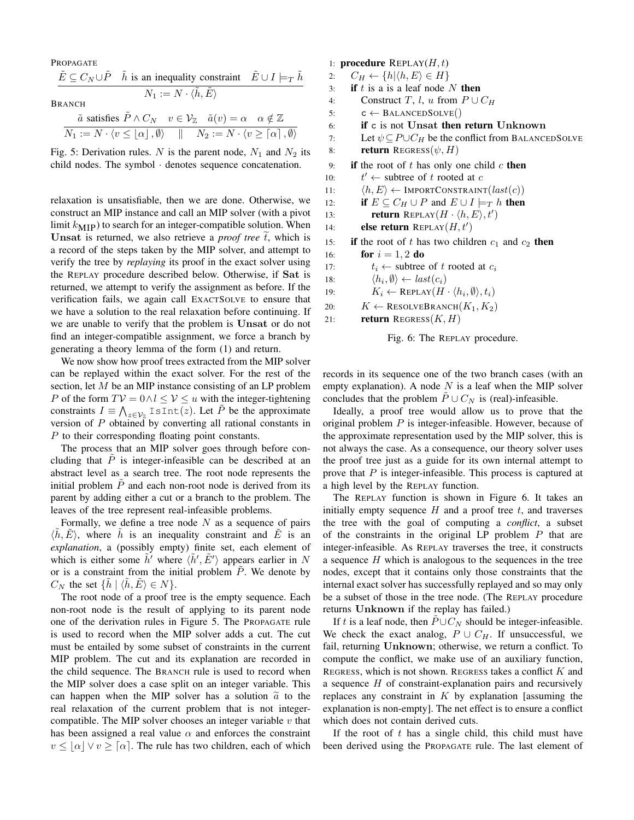PROPAGATE

$$
\frac{\tilde{E} \subseteq C_N \cup \tilde{P} \quad \tilde{h} \text{ is an inequality constraint} \quad \tilde{E} \cup I \models_T \tilde{h}}{N_1 := N \cdot \langle \tilde{h}, \tilde{E} \rangle}
$$

BRANCH

$$
\tilde{a} \text{ satisfies } \tilde{P} \land C_N \quad v \in \mathcal{V}_{\mathbb{Z}} \quad \tilde{a}(v) = \alpha \quad \alpha \notin \mathbb{Z}
$$
\n
$$
N_1 := N \cdot \langle v \leq \lfloor \alpha \rfloor, \emptyset \rangle \quad || \quad N_2 := N \cdot \langle v \geq \lceil \alpha \rceil, \emptyset \rangle
$$

Fig. 5: Derivation rules. N is the parent node,  $N_1$  and  $N_2$  its child nodes. The symbol · denotes sequence concatenation.

relaxation is unsatisfiable, then we are done. Otherwise, we construct an MIP instance and call an MIP solver (with a pivot limit  $k_{\text{MIP}}$ ) to search for an integer-compatible solution. When Unsat is returned, we also retrieve a *proof tree*  $\tilde{t}$ , which is a record of the steps taken by the MIP solver, and attempt to verify the tree by *replaying* its proof in the exact solver using the REPLAY procedure described below. Otherwise, if Sat is returned, we attempt to verify the assignment as before. If the verification fails, we again call EXACTSOLVE to ensure that we have a solution to the real relaxation before continuing. If we are unable to verify that the problem is Unsat or do not find an integer-compatible assignment, we force a branch by generating a theory lemma of the form (1) and return.

We now show how proof trees extracted from the MIP solver can be replayed within the exact solver. For the rest of the section, let M be an MIP instance consisting of an LP problem P of the form  $TV = 0 \land l \leq V \leq u$  with the integer-tightening constraints  $I \equiv \bigwedge_{z \in \mathcal{V}_\mathbb{Z}} \text{IsInt}(z)$ . Let  $\tilde{P}$  be the approximate version of  $P$  obtained by converting all rational constants in P to their corresponding floating point constants.

The process that an MIP solver goes through before concluding that  $\ddot{P}$  is integer-infeasible can be described at an abstract level as a search tree. The root node represents the initial problem  $\tilde{P}$  and each non-root node is derived from its parent by adding either a cut or a branch to the problem. The leaves of the tree represent real-infeasible problems.

Formally, we define a tree node  $N$  as a sequence of pairs  $\langle \hat{h}, \hat{E} \rangle$ , where  $\hat{h}$  is an inequality constraint and  $\hat{E}$  is an *explanation*, a (possibly empty) finite set, each element of which is either some  $\tilde{h}'$  where  $\langle \tilde{h}', \tilde{E}' \rangle$  appears earlier in N or is a constraint from the initial problem  $\ddot{P}$ . We denote by  $C_N$  the set  $\{h \mid \langle h, E \rangle \in N\}.$ 

The root node of a proof tree is the empty sequence. Each non-root node is the result of applying to its parent node one of the derivation rules in Figure 5. The PROPAGATE rule is used to record when the MIP solver adds a cut. The cut must be entailed by some subset of constraints in the current MIP problem. The cut and its explanation are recorded in the child sequence. The BRANCH rule is used to record when the MIP solver does a case split on an integer variable. This can happen when the MIP solver has a solution  $\tilde{a}$  to the real relaxation of the current problem that is not integercompatible. The MIP solver chooses an integer variable  $v$  that has been assigned a real value  $\alpha$  and enforces the constraint  $v \leq |\alpha| \vee v \geq |\alpha|$ . The rule has two children, each of which

# 1: **procedure**  $REPLAN(H, t)$

2:  $C_H \leftarrow \{h | \langle h, E \rangle \in H\}$ 

- 3: if t is a is a leaf node  $N$  then
- 4: Construct T, l, u from  $P \cup C_H$
- 5:  $c \leftarrow \text{BALANCEDSOLVE}()$
- 6: if c is not Unsat then return Unknown
- 7: Let  $\psi \subseteq P \cup C_H$  be the conflict from BALANCEDSOLVE 8: **return** REGRESS $(\psi, H)$
- 9: if the root of t has only one child  $c$  then
- $10:$  $t' \leftarrow$  subtree of t rooted at c

11:  $\langle h, E \rangle \leftarrow \text{IMPORTCONSTRAINT}(last(c))$ 

12: **if**  $E \subseteq C_H \cup P$  and  $E \cup I \models_T h$  then

13: **return** REPLAY $(H \cdot \langle h, E \rangle, t')$ 

14: **else return** REPLAY $(H, t')$ 

- 15: if the root of t has two children  $c_1$  and  $c_2$  then 16: **for**  $i = 1, 2$  **do** 17:  $t_i \leftarrow \text{subtree of } t \text{ rooted at } c_i$
- 18:  $\langle h_i, \emptyset \rangle \leftarrow last(c_i)$
- 19:  $K_i \leftarrow \text{REPLAN}(H \cdot \langle h_i, \emptyset \rangle, t_i)$
- 20:  $K \leftarrow$  RESOLVEBRANCH $(K_1, K_2)$
- 21: **return** REGRESS $(K, H)$



records in its sequence one of the two branch cases (with an empty explanation). A node  $N$  is a leaf when the MIP solver concludes that the problem  $P \cup C_N$  is (real)-infeasible.

Ideally, a proof tree would allow us to prove that the original problem  $P$  is integer-infeasible. However, because of the approximate representation used by the MIP solver, this is not always the case. As a consequence, our theory solver uses the proof tree just as a guide for its own internal attempt to prove that  $P$  is integer-infeasible. This process is captured at a high level by the REPLAY function.

The REPLAY function is shown in Figure 6. It takes an initially empty sequence  $H$  and a proof tree  $t$ , and traverses the tree with the goal of computing a *conflict*, a subset of the constraints in the original LP problem  $P$  that are integer-infeasible. As REPLAY traverses the tree, it constructs a sequence H which is analogous to the sequences in the tree nodes, except that it contains only those constraints that the internal exact solver has successfully replayed and so may only be a subset of those in the tree node. (The REPLAY procedure returns Unknown if the replay has failed.)

If t is a leaf node, then  $P \cup C_N$  should be integer-infeasible. We check the exact analog,  $P \cup C_H$ . If unsuccessful, we fail, returning Unknown; otherwise, we return a conflict. To compute the conflict, we make use of an auxiliary function, REGRESS, which is not shown. REGRESS takes a conflict  $K$  and a sequence  $H$  of constraint-explanation pairs and recursively replaces any constraint in  $K$  by explanation [assuming the explanation is non-empty]. The net effect is to ensure a conflict which does not contain derived cuts.

If the root of  $t$  has a single child, this child must have been derived using the PROPAGATE rule. The last element of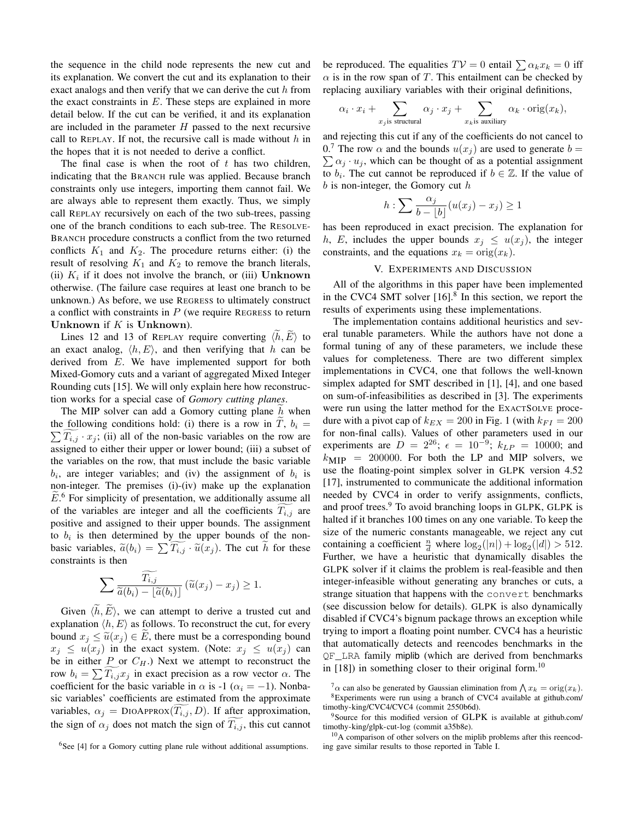the sequence in the child node represents the new cut and its explanation. We convert the cut and its explanation to their exact analogs and then verify that we can derive the cut  $h$  from the exact constraints in  $E$ . These steps are explained in more detail below. If the cut can be verified, it and its explanation are included in the parameter  $H$  passed to the next recursive call to REPLAY. If not, the recursive call is made without  $h$  in the hopes that it is not needed to derive a conflict.

The final case is when the root of  $t$  has two children, indicating that the BRANCH rule was applied. Because branch constraints only use integers, importing them cannot fail. We are always able to represent them exactly. Thus, we simply call REPLAY recursively on each of the two sub-trees, passing one of the branch conditions to each sub-tree. The RESOLVE-BRANCH procedure constructs a conflict from the two returned conflicts  $K_1$  and  $K_2$ . The procedure returns either: (i) the result of resolving  $K_1$  and  $K_2$  to remove the branch literals, (ii)  $K_i$  if it does not involve the branch, or (iii) Unknown otherwise. (The failure case requires at least one branch to be unknown.) As before, we use REGRESS to ultimately construct a conflict with constraints in  $P$  (we require REGRESS to return Unknown if  $K$  is Unknown).

Lines 12 and 13 of REPLAY require converting  $\langle \tilde{h}, \tilde{E} \rangle$  to an exact analog,  $\langle h, E \rangle$ , and then verifying that h can be derived from  $E$ . We have implemented support for both Mixed-Gomory cuts and a variant of aggregated Mixed Integer Rounding cuts [15]. We will only explain here how reconstruction works for a special case of *Gomory cutting planes*.

The MIP solver can add a Gomory cutting plane  $h$  when the following conditions hold: (i) there is a row in  $T$ ,  $b_i = \sum_{i=1}^{n} T_i$  $\sum T_{i,j} \cdot x_j$ ; (ii) all of the non-basic variables on the row are assigned to either their upper or lower bound; (iii) a subset of the variables on the row, that must include the basic variable  $b_i$ , are integer variables; and (iv) the assignment of  $b_i$  is non-integer. The premises (i)-(iv) make up the explanation  $E^6$ . For simplicity of presentation, we additionally assume all of the variables are integer and all the coefficients  $T_{i,j}$  are positive and assigned to their upper bounds. The assignment to  $b_i$  is then determined by the upper bounds of the nonbasic variables,  $\tilde{a}(b_i) = \sum T_{i,j} \cdot \tilde{u}(x_i)$ . The cut  $\tilde{h}$  for these constraints is then

$$
\sum \frac{\widetilde{T_{i,j}}}{\widetilde{a}(b_i) - \lfloor \widetilde{a}(b_i) \rfloor} \left( \widetilde{u}(x_j) - x_j \right) \ge 1.
$$

Given  $\langle h, \overline{E} \rangle$ , we can attempt to derive a trusted cut and explanation  $\langle h, E \rangle$  as follows. To reconstruct the cut, for every bound  $x_j \leq \tilde{u}(x_j) \in E$ , there must be a corresponding bound  $x_j \leq u(x_j)$  in the exact system. (Note:  $x_j \leq u(x_j)$  can be in either  $P$  or  $C_H$ .) Next we attempt to reconstruct the row  $b_i = \sum T_{i,j} x_j$  in exact precision as a row vector  $\alpha$ . The coefficient for the basic variable in  $\alpha$  is -1 ( $\alpha_i = -1$ ). Nonbasic variables' coefficients are estimated from the approximate variables,  $\alpha_j = \text{DiodPPROX}(T_{i,j}, D)$ . If after approximation, the sign of  $\alpha_j$  does not match the sign of  $T_{i,j}$ , this cut cannot be reproduced. The equalities  $T V = 0$  entail  $\sum \alpha_k x_k = 0$  iff  $\alpha$  is in the row span of T. This entailment can be checked by replacing auxiliary variables with their original definitions,

$$
\alpha_i \cdot x_i + \sum_{x_j \text{ is structural}} \alpha_j \cdot x_j + \sum_{x_k \text{ is auxiliary}} \alpha_k \cdot \text{orig}(x_k),
$$

and rejecting this cut if any of the coefficients do not cancel to 0.<sup>7</sup> The row  $\alpha$  and the bounds  $u(x_j)$  are used to generate  $b =$  $\sum \alpha_j \cdot u_j$ , which can be thought of as a potential assignment to  $b_i$ . The cut cannot be reproduced if  $b \in \mathbb{Z}$ . If the value of  $b$  is non-integer, the Gomory cut  $h$ 

$$
h:\sum \frac{\alpha_j}{b-\lfloor b\rfloor}(u(x_j)-x_j)\geq 1
$$

has been reproduced in exact precision. The explanation for h, E, includes the upper bounds  $x_j \leq u(x_j)$ , the integer constraints, and the equations  $x_k = \text{orig}(x_k)$ .

## V. EXPERIMENTS AND DISCUSSION

All of the algorithms in this paper have been implemented in the CVC4 SMT solver  $[16]$ .<sup>8</sup> In this section, we report the results of experiments using these implementations.

The implementation contains additional heuristics and several tunable parameters. While the authors have not done a formal tuning of any of these parameters, we include these values for completeness. There are two different simplex implementations in CVC4, one that follows the well-known simplex adapted for SMT described in [1], [4], and one based on sum-of-infeasibilities as described in [3]. The experiments were run using the latter method for the EXACTSOLVE procedure with a pivot cap of  $k_{EX} = 200$  in Fig. 1 (with  $k_{FI} = 200$ for non-final calls). Values of other parameters used in our experiments are  $D = 2^{26}$ ;  $\epsilon = 10^{-9}$ ;  $k_{LP} = 10000$ ; and  $k_{\text{MIP}}$  = 200000. For both the LP and MIP solvers, we use the floating-point simplex solver in GLPK version 4.52 [17], instrumented to communicate the additional information needed by CVC4 in order to verify assignments, conflicts, and proof trees.<sup>9</sup> To avoid branching loops in GLPK, GLPK is halted if it branches 100 times on any one variable. To keep the size of the numeric constants manageable, we reject any cut containing a coefficient  $\frac{n}{d}$  where  $\log_2(|n|) + \log_2(|d|) > 512$ . Further, we have a heuristic that dynamically disables the GLPK solver if it claims the problem is real-feasible and then integer-infeasible without generating any branches or cuts, a strange situation that happens with the convert benchmarks (see discussion below for details). GLPK is also dynamically disabled if CVC4's bignum package throws an exception while trying to import a floating point number. CVC4 has a heuristic that automatically detects and reencodes benchmarks in the QF\_LRA family miplib (which are derived from benchmarks in  $[18]$ ) in something closer to their original form.<sup>10</sup>

 $\int_0^7 \alpha$  can also be generated by Gaussian elimination from  $\int \chi_k = \text{orig}(x_k)$ . <sup>8</sup>Experiments were run using a branch of CVC4 available at github.com/ timothy-king/CVC4/CVC4 (commit 2550b6d).

<sup>&</sup>lt;sup>6</sup>See [4] for a Gomory cutting plane rule without additional assumptions.

<sup>&</sup>lt;sup>9</sup>Source for this modified version of GLPK is available at github.com/ timothy-king/glpk-cut-log (commit a35b8e).

<sup>10</sup>A comparison of other solvers on the miplib problems after this reencoding gave similar results to those reported in Table I.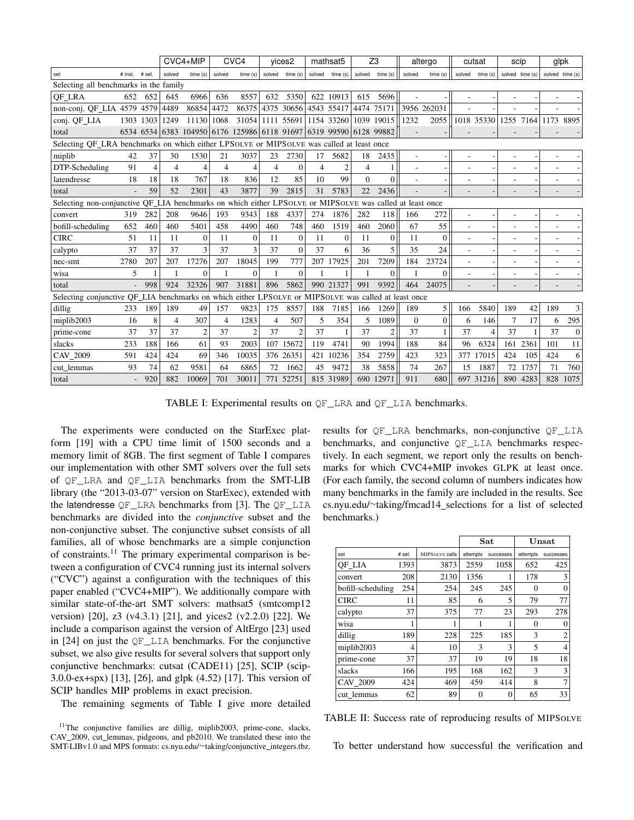|                                                                                                          |           |        |                | CVC4+MIP       |                | CVC <sub>4</sub>                                                   |                | vices2                |        | mathsat5   | Z3             |                | altergo        |             | cutsat |                | scip      |                 | glpk            |          |
|----------------------------------------------------------------------------------------------------------|-----------|--------|----------------|----------------|----------------|--------------------------------------------------------------------|----------------|-----------------------|--------|------------|----------------|----------------|----------------|-------------|--------|----------------|-----------|-----------------|-----------------|----------|
| set                                                                                                      | $#$ inst. | # sel. | solved         | time(s)        | solved         | time(s)                                                            | solved         | time (s)              | solved | time(s)    | solved         | time(s)        | solved         | time(s)     | solved | time (s)       |           | solved time (s) | solved time (s) |          |
| Selecting all benchmarks in the family                                                                   |           |        |                |                |                |                                                                    |                |                       |        |            |                |                |                |             |        |                |           |                 |                 |          |
| QF_LRA                                                                                                   | 652       | 652    | 645            | 6966           | 636            | 8557                                                               | 632            | 5350                  | 622    | 10913      | 615            | 5696           |                |             |        |                |           |                 |                 |          |
| non-conj. OF LIA 4579 4579                                                                               |           |        | 4489           | 86854 4472     |                | 86375                                                              |                | 4375 30656 4543 55417 |        |            | 4474           | 75171          |                | 3956 262031 |        |                |           |                 |                 |          |
| conj. QF LIA                                                                                             | 1303 1303 |        | 1249           | 11130          | 1068           | 31054                                                              |                | 1111 55691            |        | 1154 33260 |                | 1039 19015     | 1232           | 2055        |        | 1018 35330     | 1255 7164 |                 | 1173            | 8895     |
| total                                                                                                    |           |        |                |                |                | 6534 6534 6383 104950 6176 125986 6118 91697 6319 99590 6128 99882 |                |                       |        |            |                |                |                |             |        |                |           |                 |                 |          |
| Selecting QF_LRA benchmarks on which either LPSOLVE or MIPSOLVE was called at least once                 |           |        |                |                |                |                                                                    |                |                       |        |            |                |                |                |             |        |                |           |                 |                 |          |
| miplib                                                                                                   | 42        | 37     | 30             | 1530           | 21             | 3037                                                               | 23             | 2730                  | 17     | 5682       | 18             | 2435           | $\overline{a}$ |             |        |                |           |                 |                 |          |
| DTP-Scheduling                                                                                           | 91        | 4      | $\overline{4}$ | 4              | $\overline{4}$ | 4                                                                  | $\overline{4}$ | $\mathbf{0}$          | 4      | 2          | $\overline{4}$ |                |                |             |        |                |           |                 |                 |          |
| latendresse                                                                                              | 18        | 18     | 18             | 767            | 18             | 836                                                                | 12             | 85                    | 10     | 99         | $\theta$       | 0              |                |             |        |                |           |                 |                 |          |
| total                                                                                                    |           | 59     | 52             | 2301           | 43             | 3877                                                               | 39             | 2815                  | 31     | 5783       | 22             | 2436           |                |             |        |                |           |                 |                 |          |
| Selecting non-conjunctive QF LIA benchmarks on which either LPSOLVE or MIPSOLVE was called at least once |           |        |                |                |                |                                                                    |                |                       |        |            |                |                |                |             |        |                |           |                 |                 |          |
| convert                                                                                                  | 319       | 282    | 208            | 9646           | 193            | 9343                                                               | 188            | 4337                  | 274    | 1876       | 282            | 118            | 166            | 272         |        |                |           |                 |                 |          |
| bofill-scheduling                                                                                        | 652       | 460    | 460            | 5401           | 458            | 4490                                                               | 460            | 748                   | 460    | 1519       | 460            | 2060           | 67             | 55          |        |                |           |                 |                 |          |
| <b>CIRC</b>                                                                                              | 51        | 11     | 11             | $\Omega$       | 11             | $\Omega$                                                           | 11             | $\mathbf{0}$          | 11     | $\theta$   | 11             | 0              | 11             | $\Omega$    |        |                |           |                 |                 |          |
| calypto                                                                                                  | 37        | 37     | 37             | 3              | 37             | 3                                                                  | 37             | $\theta$              | 37     | 6          | 36             | 5              | 35             | 24          |        |                |           |                 |                 |          |
| nec-smt                                                                                                  | 2780      | 207    | 207            | 17276          | 207            | 18045                                                              | 199            | 777                   | 207    | 17925      | 201            | 7209           | 184            | 23724       |        |                |           |                 |                 |          |
| wisa                                                                                                     | 5         |        |                | $\Omega$       |                | $\Omega$                                                           |                | $\Omega$              |        |            |                | 0              |                | $\Omega$    |        |                |           |                 |                 |          |
| total                                                                                                    |           | 998    | 924            | 32326          | 907            | 31881                                                              | 896            | 5862                  | 990    | 21327      | 991            | 9392           | 464            | 24075       |        |                |           |                 |                 |          |
| Selecting conjunctive QF_LIA benchmarks on which either LPSOLVE or MIPSOLVE was called at least once     |           |        |                |                |                |                                                                    |                |                       |        |            |                |                |                |             |        |                |           |                 |                 |          |
| dillig                                                                                                   | 233       | 189    | 189            | 49             | 157            | 9823                                                               | 175            | 8557                  | 188    | 7185       | 166            | 1269           | 189            | 5           | 166    | 5840           | 189       | 42              | 189             | 3        |
| miplib2003                                                                                               | 16        | 8      | $\overline{4}$ | 307            | 4              | 1283                                                               | 4              | 507                   | 5      | 354        | 5              | 1089           | $\Omega$       | $\Omega$    | 6      | 146            | 7         | 17              | 6               | 295      |
| prime-cone                                                                                               | 37        | 37     | 37             | $\overline{2}$ | 37             | $\overline{2}$                                                     | 37             | $\overline{2}$        | 37     |            | 37             | $\overline{c}$ | 37             |             | 37     | $\overline{4}$ | 37        |                 | 37              | $\theta$ |
| slacks                                                                                                   | 233       | 188    | 166            | 61             | 93             | 2003                                                               | 107            | 15672                 | 119    | 4741       | 90             | 1994           | 188            | 84          | 96     | 6324           | 161       | 2361            | 101             | 11       |
| CAV 2009                                                                                                 | 591       | 424    | 424            | 69             | 346            | 10035                                                              |                | 376 26351             | 421    | 10236      | 354            | 2759           | 423            | 323         | 377    | 17015          | 424       | 105             | 424             | 6        |
| cut lemmas                                                                                               | 93        | 74     | 62             | 9581           | 64             | 6865                                                               | 72             | 1662                  | 45     | 9472       | 38             | 5858           | 74             | 267         | 15     | 1887           | 72        | 1757            | 71              | 760      |
| total                                                                                                    |           | 920    | 882            | 10069          | 701            | 30011                                                              | 771            | 52751                 |        | 815 31989  | 690            | 12971          | 911            | 680         |        | 697 31216      |           | 890 4283        | 828             | 1075     |

TABLE I: Experimental results on QF\_LRA and QF\_LIA benchmarks.

The experiments were conducted on the StarExec platform [19] with a CPU time limit of 1500 seconds and a memory limit of 8GB. The first segment of Table I compares our implementation with other SMT solvers over the full sets of QF\_LRA and QF\_LIA benchmarks from the SMT-LIB library (the "2013-03-07" version on StarExec), extended with the latendresse  $QF_L$ RA benchmarks from [3]. The  $QF_LIA$ benchmarks are divided into the *conjunctive* subset and the non-conjunctive subset. The conjunctive subset consists of all families, all of whose benchmarks are a simple conjunction of constraints.<sup>11</sup> The primary experimental comparison is between a configuration of CVC4 running just its internal solvers ("CVC") against a configuration with the techniques of this paper enabled ("CVC4+MIP"). We additionally compare with similar state-of-the-art SMT solvers: mathsat5 (smtcomp12 version) [20], z3 (v4.3.1) [21], and yices2 (v2.2.0) [22]. We include a comparison against the version of AltErgo [23] used in [24] on just the QF\_LIA benchmarks. For the conjunctive subset, we also give results for several solvers that support only conjunctive benchmarks: cutsat (CADE11) [25], SCIP (scip-3.0.0-ex+spx) [13], [26], and glpk (4.52) [17]. This version of SCIP handles MIP problems in exact precision.

The remaining segments of Table I give more detailed

<sup>11</sup>The conjunctive families are dillig, miplib2003, prime-cone, slacks, CAV 2009, cut lemmas, pidgeons, and pb2010. We translated these into the SMT-LIBv1.0 and MPS formats: cs.nyu.edu/~taking/conjunctive\_integers.tbz. results for QF\_LRA benchmarks, non-conjunctive QF\_LIA benchmarks, and conjunctive QF\_LIA benchmarks respectively. In each segment, we report only the results on benchmarks for which CVC4+MIP invokes GLPK at least once. (For each family, the second column of numbers indicates how many benchmarks in the family are included in the results. See cs.nyu.edu/<sup>∼</sup>taking/fmcad14 selections for a list of selected benchmarks.)

|                   |        |                |          | Sat       | Unsat                    |                |  |
|-------------------|--------|----------------|----------|-----------|--------------------------|----------------|--|
| set               | # sel. | MIPSOLVE calls | attempts | successes | attempts                 | successes      |  |
| OF LIA            | 1393   | 3873           | 2559     | 1058      | 652                      | 425            |  |
| convert           | 208    | 2130           | 1356     |           | 178                      | 3              |  |
| bofill-scheduling | 254    | 254            | 245      | 245       | 0                        | 0              |  |
| <b>CIRC</b>       | 11     | 85             | 6        | 5         | 79                       | 77             |  |
| calypto           | 37     | 375            | 77       | 23        | 293                      | 278            |  |
| wisa              | 1      |                | 1        |           | 0                        | 0              |  |
| dillig            | 189    | 228            | 225      | 185       | 3                        | $\overline{c}$ |  |
| miplib2003        | 4      | 10             | 3        | 3         | $\overline{\phantom{0}}$ | $\overline{4}$ |  |
| prime-cone        | 37     | 37             | 19       | 19        | 18                       | 18             |  |
| slacks            | 166    | 195            | 168      | 162       | 3                        | 3              |  |
| CAV 2009          | 424    | 469            | 459      | 414       | 8                        | 7              |  |
| cut lemmas        | 62     | 89             | 0        | $\theta$  | 65                       | 33             |  |

TABLE II: Success rate of reproducing results of MIPSOLVE

To better understand how successful the verification and